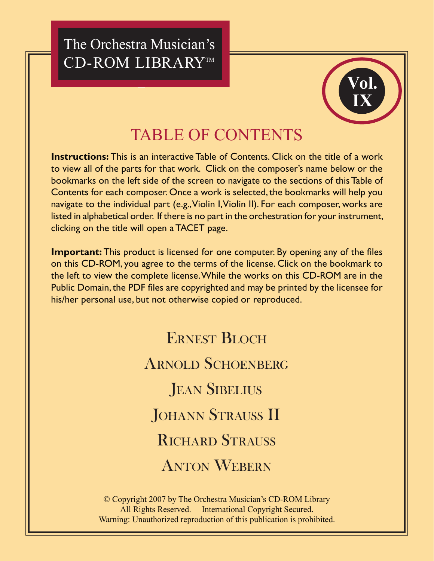The Orchestra Musician's CD-ROM LIBRARY™



# **TABLE OF CONTENTS**

**Instructions:** This is an interactive Table of Contents. Click on the title of a work to view all of the parts for that work. Click on the composer's name below or the bookmarks on the left side of the screen to navigate to the sections of this Table of Contents for each composer. Once a work is selected, the bookmarks will help you navigate to the individual part (e.g., Violin I, Violin II). For each composer, works are listed in alphabetical order. If there is no part in the orchestration for your instrument, clicking on the title will open a TACET page.

**Important:** This product is licensed for one computer. By opening any of the files on this CD-ROM, you agree to the terms of the license. Click on the bookmark to the left to view the complete license. While the works on this CD-ROM are in the Public Domain, the PDF files are copyrighted and may be printed by the licensee for his/her personal use, but not otherwise copied or reproduced.

> **ERNEST BLOCH ARNOLD SCHOENBERG JEAN SIBELIUS JOHANN STRAUSS II RICHARD STRAUSS ANTON WEBERN**

© Copyright 2007 by The Orchestra Musician's CD-ROM Library All Rights Reserved. International Copyright Secured. Warning: Unauthorized reproduction of this publication is prohibited.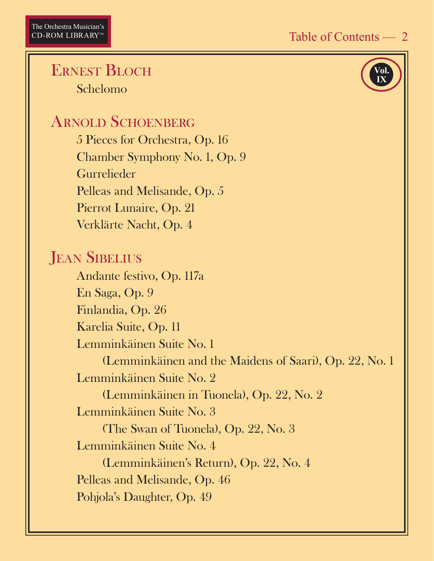Vol

#### <span id="page-1-0"></span>**ERNEST BLOCH** Schelomo

### **ARNOLD SCHOENBERG**

5 Pieces for Orchestra, Op. 16 Chamber Symphony No. 1, Op. 9 Gurrelieder Pelleas and Melisande, Op. 5 Pierrot Lunaire, Op. 21 Verklärte Nacht, Op. 4

# **JEAN SIBELIUS**

Andante festivo, Op. 117a En Saga, Op. 9 Finlandia, Op. 26 Karelia Suite, Op. 11 Lemminkäinen Suite No. 1 (Lemminkäinen and the Maidens of Saari), Op. 22, No. 1 Lemminkäinen Suite No. 2 (Lemminkäinen in Tuonela), Op. 22, No. 2 Lemminkäinen Suite No. 3 (The Swan of Tuonela), Op. 22, No. 3 Lemminkäinen Suite No. 4 (Lemminkäinen's Return), Op. 22, No. 4 Pelleas and Melisande, Op. 46 Pohjola's Daughter, Op. 49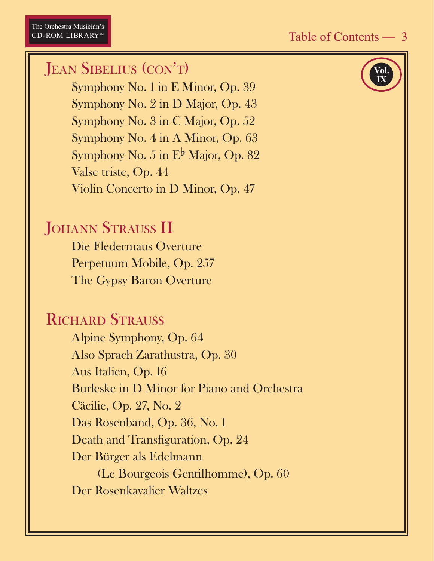# <span id="page-2-0"></span>**JEAN SIBELIUS (CON'T)**

Symphony No. 1 in E Minor, Op. 39 Symphony No. 2 in D Major, Op. 43 Symphony No. 3 in C Major, Op. 52 Symphony No. 4 in A Minor, Op. 63 Symphony No. 5 in  $E^{\flat}$  Major, Op. 82 Valse triste, Op. 44 Violin Concerto in D Minor, Op. 47

# **JOHANN STRAUSS II**

Die Fledermaus Overture Perpetuum Mobile, Op. 257 The Gypsy Baron Overture

# **RICHARD STRAUSS**

Alpine Symphony, Op. 64 Also Sprach Zarathustra, Op. 30 Aus Italien, Op. 16 Burleske in D Minor for Piano and Orchestra Cäcilie, Op. 27, No. 2 Das Rosenband, Op. 36, No. 1 Death and Transfiguration, Op. 24 Der Bürger als Edelmann (Le Bourgeois Gentilhomme), Op. 60 Der Rosenkavalier Waltzes